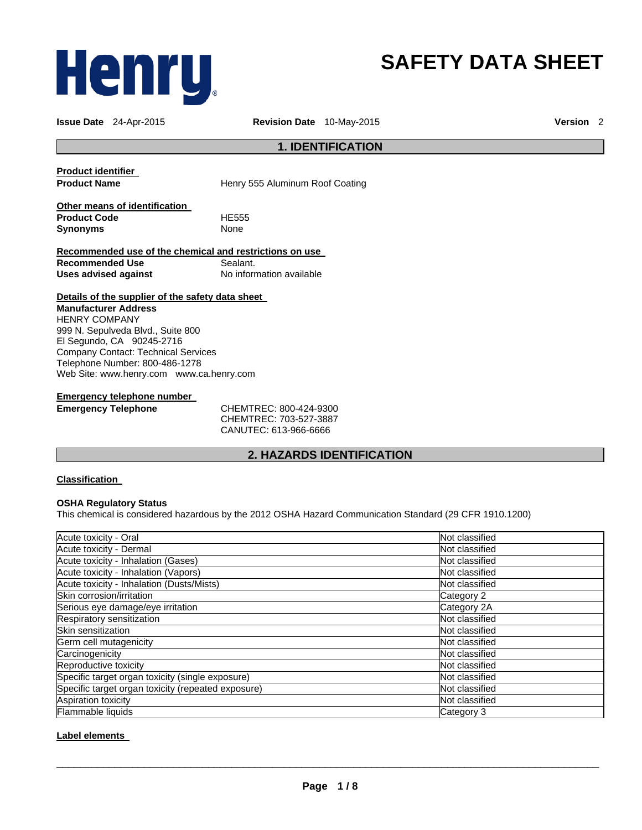

# **SAFETY DATA SHEET**

**Issue Date** 24-Apr-2015 **Revision Date** 10-May-2015 **Version** 2

# **1. IDENTIFICATION**

**Product identifier** 

**Product Name Henry 555 Aluminum Roof Coating** 

**Other means of identification Product Code** HE555 **Synonyms** 

**Recommended use of the chemical and restrictions on use Recommended Use Sealant.**<br> **Uses advised against** No information available **Uses advised against** 

**Details of the supplier of the safety data sheet** 

**Manufacturer Address** HENRY COMPANY 999 N. Sepulveda Blvd., Suite 800 El Segundo, CA 90245-2716 Company Contact: Technical Services Telephone Number: 800-486-1278 Web Site: www.henry.com www.ca.henry.com

# **Emergency telephone number**

**Emergency Telephone** CHEMTREC: 800-424-9300 CHEMTREC: 703-527-3887 CANUTEC: 613-966-6666

# **2. HAZARDS IDENTIFICATION**

# **Classification**

#### **OSHA Regulatory Status**

This chemical is considered hazardous by the 2012 OSHA Hazard Communication Standard (29 CFR 1910.1200)

| Acute toxicity - Oral                              | Not classified |
|----------------------------------------------------|----------------|
| Acute toxicity - Dermal                            | Not classified |
| Acute toxicity - Inhalation (Gases)                | Not classified |
| Acute toxicity - Inhalation (Vapors)               | Not classified |
| Acute toxicity - Inhalation (Dusts/Mists)          | Not classified |
| Skin corrosion/irritation                          | Category 2     |
| Serious eye damage/eye irritation                  | Category 2A    |
| Respiratory sensitization                          | Not classified |
| Skin sensitization                                 | Not classified |
| Germ cell mutagenicity                             | Not classified |
| Carcinogenicity                                    | Not classified |
| Reproductive toxicity                              | Not classified |
| Specific target organ toxicity (single exposure)   | Not classified |
| Specific target organ toxicity (repeated exposure) | Not classified |
| Aspiration toxicity                                | Not classified |
| Flammable liquids                                  | Category 3     |

### **Label elements**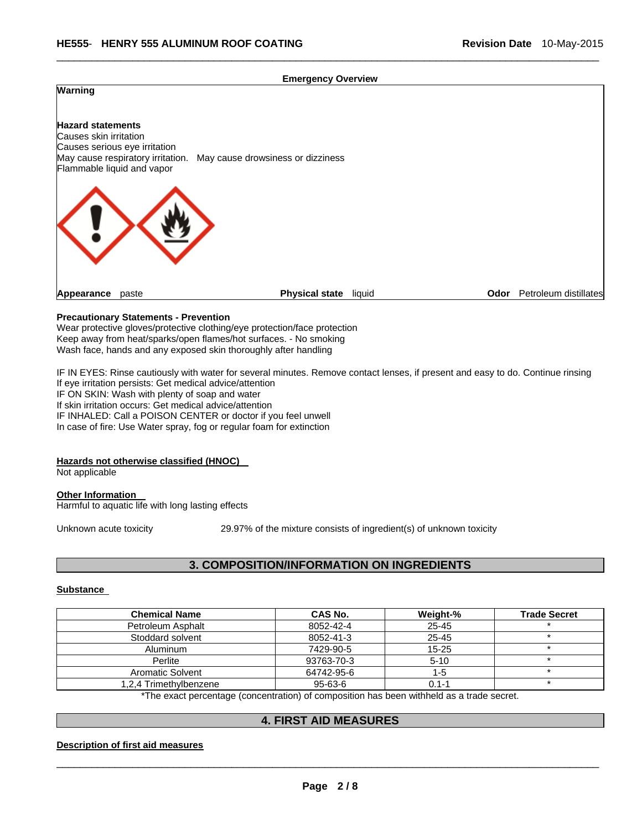#### **Emergency Overview**

\_\_\_\_\_\_\_\_\_\_\_\_\_\_\_\_\_\_\_\_\_\_\_\_\_\_\_\_\_\_\_\_\_\_\_\_\_\_\_\_\_\_\_\_\_\_\_\_\_\_\_\_\_\_\_\_\_\_\_\_\_\_\_\_\_\_\_\_\_\_\_\_\_\_\_\_\_\_\_\_\_\_\_\_\_\_\_\_\_\_\_\_\_



### **Precautionary Statements - Prevention**

Wear protective gloves/protective clothing/eye protection/face protection Keep away from heat/sparks/open flames/hot surfaces. - No smoking Wash face, hands and any exposed skin thoroughly after handling

IF IN EYES: Rinse cautiously with water for several minutes. Remove contact lenses, if present and easy to do. Continue rinsing If eye irritation persists: Get medical advice/attention IF ON SKIN: Wash with plenty of soap and water If skin irritation occurs: Get medical advice/attention IF INHALED: Call a POISON CENTER or doctor if you feel unwell In case of fire: Use Water spray, fog or regular foam for extinction

#### **Hazards not otherwise classified (HNOC)**

Not applicable

#### **Other Information**  Harmful to aquatic life with long lasting effects

Unknown acute toxicity 29.97% of the mixture consists of ingredient(s) of unknown toxicity

# **3. COMPOSITION/INFORMATION ON INGREDIENTS**

#### **Substance**

| <b>Chemical Name</b>    | CAS No.                                                                                  | Weight-%  | <b>Trade Secret</b> |
|-------------------------|------------------------------------------------------------------------------------------|-----------|---------------------|
| Petroleum Asphalt       | 8052-42-4                                                                                | $25 - 45$ |                     |
| Stoddard solvent        | 8052-41-3                                                                                | $25 - 45$ |                     |
| <b>Aluminum</b>         | 7429-90-5                                                                                | $15 - 25$ |                     |
| Perlite                 | 93763-70-3                                                                               | $5 - 10$  |                     |
| <b>Aromatic Solvent</b> | 64742-95-6                                                                               | 1-5       |                     |
| 1.2.4 Trimethylbenzene  | $95 - 63 - 6$                                                                            | $0.1 - 1$ |                     |
|                         | *The overt perceptage (conceptration) of composition has been withhold as a trade coaret |           |                     |

The exact percentage (concentration) of composition has been withheld as a trade secret.

# **4. FIRST AID MEASURES**

#### **Description of first aid measures**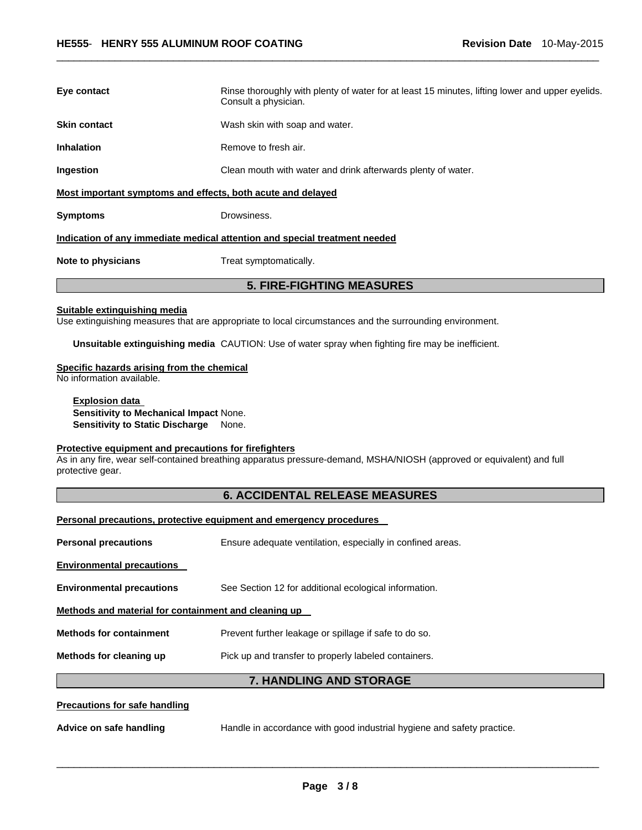| Eye contact                                                                | Rinse thoroughly with plenty of water for at least 15 minutes, lifting lower and upper eyelids.<br>Consult a physician. |  |  |
|----------------------------------------------------------------------------|-------------------------------------------------------------------------------------------------------------------------|--|--|
| <b>Skin contact</b>                                                        | Wash skin with soap and water.                                                                                          |  |  |
| <b>Inhalation</b>                                                          | Remove to fresh air.                                                                                                    |  |  |
| Ingestion                                                                  | Clean mouth with water and drink afterwards plenty of water.                                                            |  |  |
| Most important symptoms and effects, both acute and delayed                |                                                                                                                         |  |  |
| <b>Symptoms</b>                                                            | Drowsiness.                                                                                                             |  |  |
| Indication of any immediate medical attention and special treatment needed |                                                                                                                         |  |  |
| Note to physicians                                                         | Treat symptomatically.                                                                                                  |  |  |
| <b>5. FIRE-FIGHTING MEASURES</b>                                           |                                                                                                                         |  |  |

\_\_\_\_\_\_\_\_\_\_\_\_\_\_\_\_\_\_\_\_\_\_\_\_\_\_\_\_\_\_\_\_\_\_\_\_\_\_\_\_\_\_\_\_\_\_\_\_\_\_\_\_\_\_\_\_\_\_\_\_\_\_\_\_\_\_\_\_\_\_\_\_\_\_\_\_\_\_\_\_\_\_\_\_\_\_\_\_\_\_\_\_\_

# **Suitable extinguishing media**

Use extinguishing measures that are appropriate to local circumstances and the surrounding environment.

**Unsuitable extinguishing media** CAUTION: Use of water spray when fighting fire may be inefficient.

# **Specific hazards arising from the chemical**

No information available.

**Explosion data Sensitivity to Mechanical Impact** None. **Sensitivity to Static Discharge** None.

# **Protective equipment and precautions for firefighters**

As in any fire, wear self-contained breathing apparatus pressure-demand, MSHA/NIOSH (approved or equivalent) and full protective gear.

# **6. ACCIDENTAL RELEASE MEASURES**

| Personal precautions, protective equipment and emergency procedures |                                                                        |  |  |
|---------------------------------------------------------------------|------------------------------------------------------------------------|--|--|
| <b>Personal precautions</b>                                         | Ensure adequate ventilation, especially in confined areas.             |  |  |
| <b>Environmental precautions</b>                                    |                                                                        |  |  |
| <b>Environmental precautions</b>                                    | See Section 12 for additional ecological information.                  |  |  |
| Methods and material for containment and cleaning up                |                                                                        |  |  |
| <b>Methods for containment</b>                                      | Prevent further leakage or spillage if safe to do so.                  |  |  |
| Methods for cleaning up                                             | Pick up and transfer to properly labeled containers.                   |  |  |
|                                                                     | 7. HANDLING AND STORAGE                                                |  |  |
| Precautions for safe handling                                       |                                                                        |  |  |
| Advice on safe handling                                             | Handle in accordance with good industrial hygiene and safety practice. |  |  |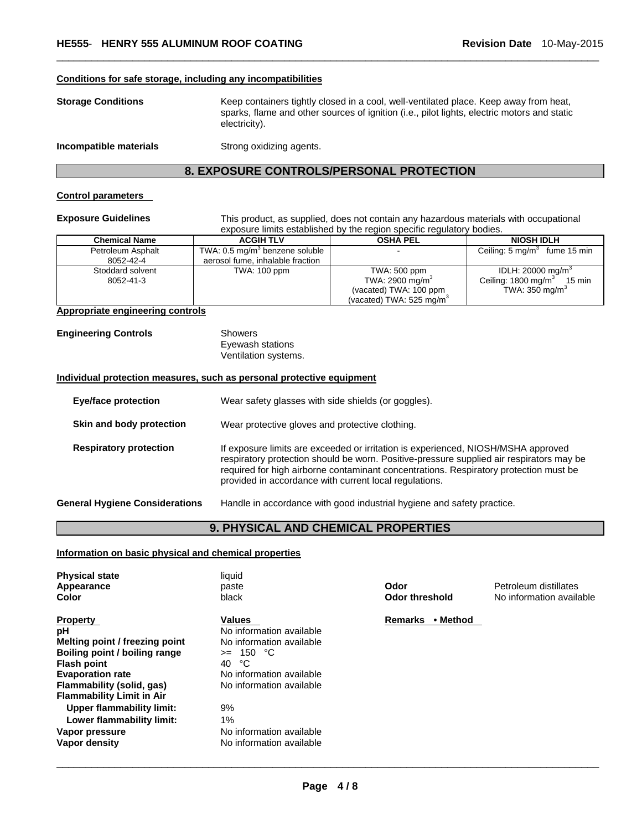#### **Conditions for safe storage, including any incompatibilities**

| <b>Storage Conditions</b> | Keep containers tightly closed in a cool, well-ventilated place. Keep away from heat,<br>sparks, flame and other sources of ignition (i.e., pilot lights, electric motors and static<br>electricity). |
|---------------------------|-------------------------------------------------------------------------------------------------------------------------------------------------------------------------------------------------------|
| Incompatible materials    | Strong oxidizing agents.                                                                                                                                                                              |

\_\_\_\_\_\_\_\_\_\_\_\_\_\_\_\_\_\_\_\_\_\_\_\_\_\_\_\_\_\_\_\_\_\_\_\_\_\_\_\_\_\_\_\_\_\_\_\_\_\_\_\_\_\_\_\_\_\_\_\_\_\_\_\_\_\_\_\_\_\_\_\_\_\_\_\_\_\_\_\_\_\_\_\_\_\_\_\_\_\_\_\_\_

# **8. EXPOSURE CONTROLS/PERSONAL PROTECTION**

#### **Control parameters**

**Exposure Guidelines** This product, as supplied, does not contain any hazardous materials with occupational exposure limits established by the region specific regulatory bodies.

| <b>Chemical Name</b> | <b>ACGIH TLV</b>                           | <b>OSHA PEL</b>             | <b>NIOSH IDLH</b>                       |
|----------------------|--------------------------------------------|-----------------------------|-----------------------------------------|
| Petroleum Asphalt    | TWA: 0.5 mg/m <sup>3</sup> benzene soluble |                             | Ceiling: $5 \text{ mg/m}^3$ fume 15 min |
| 8052-42-4            | aerosol fume, inhalable fraction           |                             |                                         |
| Stoddard solvent     | <b>TWA: 100 ppm</b>                        | TWA: 500 ppm                | IDLH: $20000 \text{ mg/m}^3$            |
| 8052-41-3            |                                            | TWA: 2900 mg/m <sup>3</sup> | Ceiling: $1800 \text{ mg/m}^3$ 15 min   |
|                      |                                            | (vacated) TWA: 100 ppm      | TWA: $350 \text{ mg/m}^3$               |
|                      |                                            | (vacated) TWA: 525 mg/m $3$ |                                         |

# **Appropriate engineering controls**

**Engineering Controls** Showers

Eyewash stations Ventilation systems.

#### **Individual protection measures, such as personal protective equipment**

| <b>Eye/face protection</b>            | Wear safety glasses with side shields (or goggles).                                                                                                                                                                                                                                                                              |
|---------------------------------------|----------------------------------------------------------------------------------------------------------------------------------------------------------------------------------------------------------------------------------------------------------------------------------------------------------------------------------|
| Skin and body protection              | Wear protective gloves and protective clothing.                                                                                                                                                                                                                                                                                  |
| <b>Respiratory protection</b>         | If exposure limits are exceeded or irritation is experienced, NIOSH/MSHA approved<br>respiratory protection should be worn. Positive-pressure supplied air respirators may be<br>required for high airborne contaminant concentrations. Respiratory protection must be<br>provided in accordance with current local regulations. |
| <b>General Hygiene Considerations</b> | Handle in accordance with good industrial hygiene and safety practice.                                                                                                                                                                                                                                                           |

# **9. PHYSICAL AND CHEMICAL PROPERTIES**

# **Information on basic physical and chemical properties**

| <b>Physical state</b><br>Appearance<br>Color                                                                                                                                                               | liquid<br>paste<br>black                                                                                                                             | Odor<br>Odor threshold     | Petroleum distillates<br>No information available |
|------------------------------------------------------------------------------------------------------------------------------------------------------------------------------------------------------------|------------------------------------------------------------------------------------------------------------------------------------------------------|----------------------------|---------------------------------------------------|
| <b>Property</b><br>рH<br>Melting point / freezing point<br>Boiling point / boiling range<br><b>Flash point</b><br><b>Evaporation rate</b><br>Flammability (solid, gas)<br><b>Flammability Limit in Air</b> | Values<br>No information available<br>No information available<br>150 °C<br>$>=$<br>ಿC<br>40<br>No information available<br>No information available | • Method<br><b>Remarks</b> |                                                   |
| Upper flammability limit:<br>Lower flammability limit:<br>Vapor pressure<br>Vapor density                                                                                                                  | 9%<br>1%<br>No information available<br>No information available                                                                                     |                            |                                                   |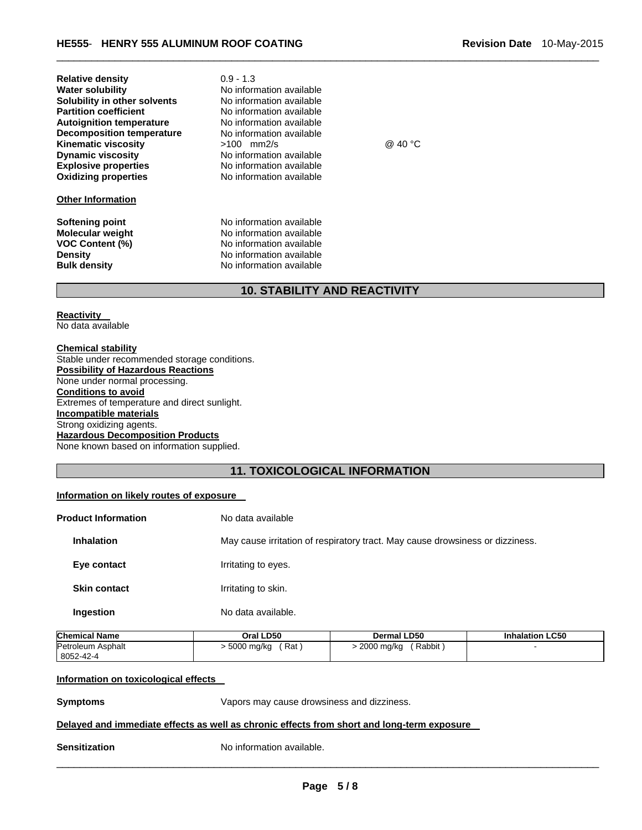| <b>Relative density</b><br><b>Water solubility</b><br>Solubility in other solvents<br><b>Partition coefficient</b><br><b>Autoignition temperature</b><br><b>Decomposition temperature</b><br><b>Kinematic viscosity</b><br><b>Dynamic viscosity</b><br><b>Explosive properties</b><br><b>Oxidizing properties</b> | $0.9 - 1.3$<br>No information available<br>No information available<br>No information available<br>No information available<br>No information available<br>$>100$ mm2/s<br>No information available<br>No information available<br>No information available | @ 40 °C |
|-------------------------------------------------------------------------------------------------------------------------------------------------------------------------------------------------------------------------------------------------------------------------------------------------------------------|-------------------------------------------------------------------------------------------------------------------------------------------------------------------------------------------------------------------------------------------------------------|---------|
| <b>Other Information</b>                                                                                                                                                                                                                                                                                          |                                                                                                                                                                                                                                                             |         |
| <b>Softening point</b><br><b>Molecular weight</b><br><b>VOC Content (%)</b><br><b>Density</b><br><b>Bulk density</b>                                                                                                                                                                                              | No information available<br>No information available<br>No information available<br>No information available<br>No information available                                                                                                                    |         |

# **10. STABILITY AND REACTIVITY**

\_\_\_\_\_\_\_\_\_\_\_\_\_\_\_\_\_\_\_\_\_\_\_\_\_\_\_\_\_\_\_\_\_\_\_\_\_\_\_\_\_\_\_\_\_\_\_\_\_\_\_\_\_\_\_\_\_\_\_\_\_\_\_\_\_\_\_\_\_\_\_\_\_\_\_\_\_\_\_\_\_\_\_\_\_\_\_\_\_\_\_\_\_

#### **Reactivity**  No data available

**Chemical stability** Stable under recommended storage conditions. **Possibility of Hazardous Reactions** None under normal processing. **Conditions to avoid** Extremes of temperature and direct sunlight. **Incompatible materials** Strong oxidizing agents. **Hazardous Decomposition Products** None known based on information supplied.

# **11. TOXICOLOGICAL INFORMATION**

# **Information on likely routes of exposure**

| <b>Product Information</b> | No data available                                                             |
|----------------------------|-------------------------------------------------------------------------------|
| <b>Inhalation</b>          | May cause irritation of respiratory tract. May cause drowsiness or dizziness. |
| Eye contact                | Irritating to eyes.                                                           |
| <b>Skin contact</b>        | Irritating to skin.                                                           |
| Ingestion                  | No data available.                                                            |

| <b>Chemical Name</b> | Oral LD50    | <b>Dermal LD50</b> | <b>Inhalation LC50</b> |
|----------------------|--------------|--------------------|------------------------|
| Petroleum Asphalt    | Rat          | Rabbit             |                        |
| 8052-42-4            | . 5000 mg/kg | > 2000 mg/kg       |                        |

### **Information on toxicological effects**

**Symptoms** Vapors may cause drowsiness and dizziness.

#### **Delayed and immediate effects as well as chronic effects from short and long-term exposure**

**Sensitization No information available.**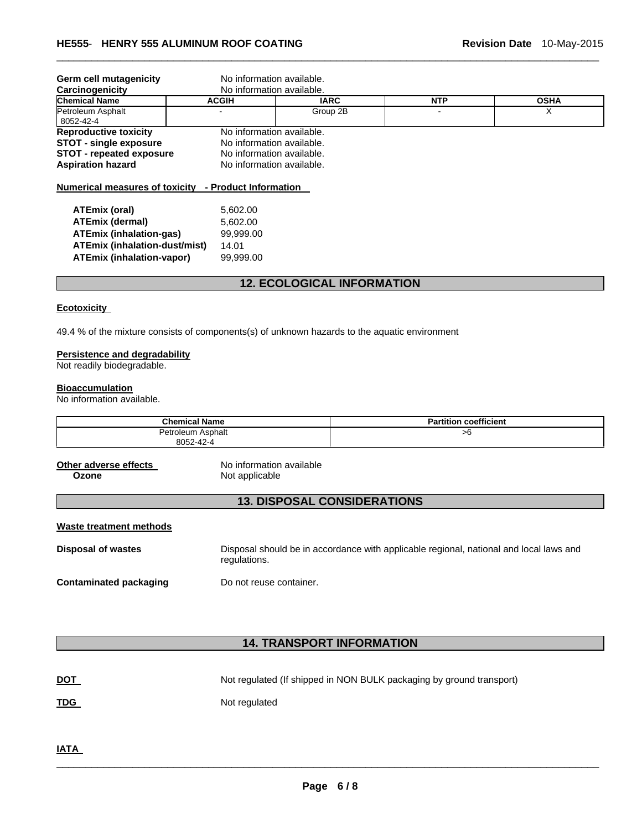|                                               | No information available.                                           |                                                                                                                                                                          |             |  |  |
|-----------------------------------------------|---------------------------------------------------------------------|--------------------------------------------------------------------------------------------------------------------------------------------------------------------------|-------------|--|--|
|                                               | No information available.                                           |                                                                                                                                                                          |             |  |  |
| <b>ACGIH</b>                                  | <b>IARC</b>                                                         | <b>NTP</b>                                                                                                                                                               | <b>OSHA</b> |  |  |
|                                               | Group 2B                                                            |                                                                                                                                                                          | X           |  |  |
|                                               |                                                                     |                                                                                                                                                                          |             |  |  |
|                                               |                                                                     |                                                                                                                                                                          |             |  |  |
|                                               |                                                                     |                                                                                                                                                                          |             |  |  |
| <b>STOT - repeated exposure</b>               |                                                                     |                                                                                                                                                                          |             |  |  |
|                                               |                                                                     |                                                                                                                                                                          |             |  |  |
|                                               |                                                                     |                                                                                                                                                                          |             |  |  |
|                                               |                                                                     |                                                                                                                                                                          |             |  |  |
|                                               |                                                                     |                                                                                                                                                                          |             |  |  |
|                                               |                                                                     |                                                                                                                                                                          |             |  |  |
|                                               |                                                                     |                                                                                                                                                                          |             |  |  |
|                                               |                                                                     |                                                                                                                                                                          |             |  |  |
| ATEmix (inhalation-dust/mist)<br>14.01        |                                                                     |                                                                                                                                                                          |             |  |  |
| <b>ATEmix (inhalation-vapor)</b><br>99,999.00 |                                                                     |                                                                                                                                                                          |             |  |  |
|                                               |                                                                     |                                                                                                                                                                          |             |  |  |
|                                               | 5,602.00<br>5,602.00<br><b>ATEmix (inhalation-gas)</b><br>99.999.00 | No information available.<br>No information available.<br>No information available.<br>No information available.<br>Numerical measures of toxicity - Product Information |             |  |  |

\_\_\_\_\_\_\_\_\_\_\_\_\_\_\_\_\_\_\_\_\_\_\_\_\_\_\_\_\_\_\_\_\_\_\_\_\_\_\_\_\_\_\_\_\_\_\_\_\_\_\_\_\_\_\_\_\_\_\_\_\_\_\_\_\_\_\_\_\_\_\_\_\_\_\_\_\_\_\_\_\_\_\_\_\_\_\_\_\_\_\_\_\_

# **12. ECOLOGICAL INFORMATION**

#### **Ecotoxicity**

49.4 % of the mixture consists of components(s) of unknown hazards to the aquatic environment

#### **Persistence and degradability**

Not readily biodegradable.

# **Bioaccumulation**

No information available.

| <b>Chemical Name</b> | <b>Partition coefficient</b> |
|----------------------|------------------------------|
| Petroleum Asphalt    | >6                           |
| 8052-42-4<br>- - -   |                              |

**Other adverse effects** No information available Not applicable

# **13. DISPOSAL CONSIDERATIONS**

| Waste treatment methods |  |
|-------------------------|--|
|                         |  |

**Disposal of wastes** Disposal should be in accordance with applicable regional, national and local laws and regulations. **Contaminated packaging by Do not reuse container.** 

# **14. TRANSPORT INFORMATION**

| <u>DOT</u> | Not regulated (If shipped in NON BULK packaging by ground transport) |
|------------|----------------------------------------------------------------------|
| <u>TDG</u> | Not regulated                                                        |

**IATA**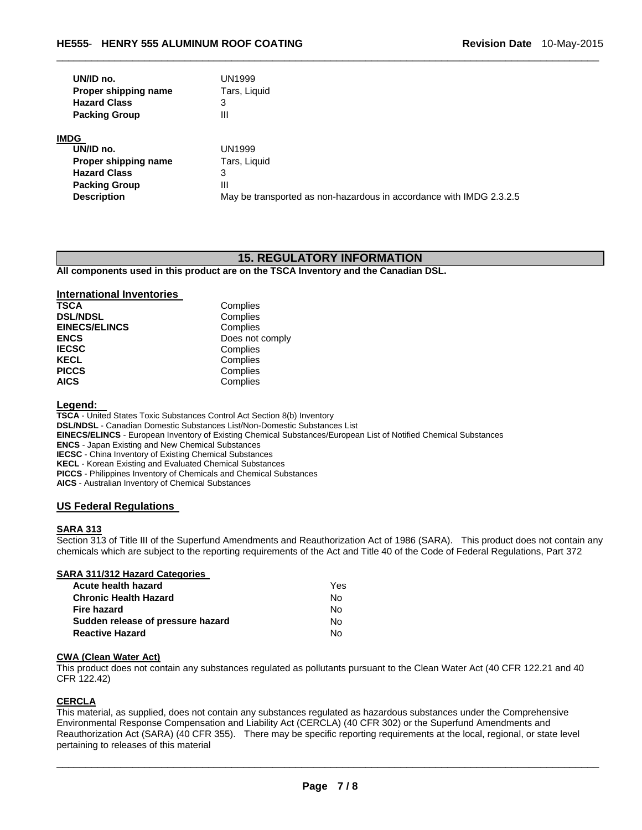| UN/ID no.            | <b>UN1999</b> |
|----------------------|---------------|
| Proper shipping name | Tars, Liquid  |
| <b>Hazard Class</b>  | 3             |
| <b>Packing Group</b> | ш             |

#### **IMDG**

| UN/ID no.            | UN1999                                                              |
|----------------------|---------------------------------------------------------------------|
| Proper shipping name | Tars, Liquid                                                        |
| <b>Hazard Class</b>  |                                                                     |
| <b>Packing Group</b> | Ш                                                                   |
| <b>Description</b>   | May be transported as non-hazardous in accordance with IMDG 2.3.2.5 |

# **15. REGULATORY INFORMATION**

\_\_\_\_\_\_\_\_\_\_\_\_\_\_\_\_\_\_\_\_\_\_\_\_\_\_\_\_\_\_\_\_\_\_\_\_\_\_\_\_\_\_\_\_\_\_\_\_\_\_\_\_\_\_\_\_\_\_\_\_\_\_\_\_\_\_\_\_\_\_\_\_\_\_\_\_\_\_\_\_\_\_\_\_\_\_\_\_\_\_\_\_\_

**All components used in this product are on the TSCA Inventory and the Canadian DSL.** 

# **International Inventories**

| <b>TSCA</b>          | Complies        |
|----------------------|-----------------|
| <b>DSL/NDSL</b>      | Complies        |
| <b>EINECS/ELINCS</b> | Complies        |
| <b>ENCS</b>          | Does not comply |
| <b>IECSC</b>         | Complies        |
| <b>KECL</b>          | Complies        |
| <b>PICCS</b>         | Complies        |
| <b>AICS</b>          | Complies        |

**Legend:** 

**TSCA** - United States Toxic Substances Control Act Section 8(b) Inventory **DSL/NDSL** - Canadian Domestic Substances List/Non-Domestic Substances List **EINECS/ELINCS** - European Inventory of Existing Chemical Substances/European List of Notified Chemical Substances **ENCS** - Japan Existing and New Chemical Substances **IECSC** - China Inventory of Existing Chemical Substances **KECL** - Korean Existing and Evaluated Chemical Substances **PICCS** - Philippines Inventory of Chemicals and Chemical Substances **AICS** - Australian Inventory of Chemical Substances

### **US Federal Regulations**

### **SARA 313**

Section 313 of Title III of the Superfund Amendments and Reauthorization Act of 1986 (SARA). This product does not contain any chemicals which are subject to the reporting requirements of the Act and Title 40 of the Code of Federal Regulations, Part 372

### **SARA 311/312 Hazard Categories**

| Acute health hazard               | Yes |
|-----------------------------------|-----|
| <b>Chronic Health Hazard</b>      | No. |
| Fire hazard                       | No. |
| Sudden release of pressure hazard | No. |
| <b>Reactive Hazard</b>            | N٥. |

# **CWA (Clean Water Act)**

This product does not contain any substances regulated as pollutants pursuant to the Clean Water Act (40 CFR 122.21 and 40 CFR 122.42)

### **CERCLA**

This material, as supplied, does not contain any substances regulated as hazardous substances under the Comprehensive Environmental Response Compensation and Liability Act (CERCLA) (40 CFR 302) or the Superfund Amendments and Reauthorization Act (SARA) (40 CFR 355). There may be specific reporting requirements at the local, regional, or state level pertaining to releases of this material